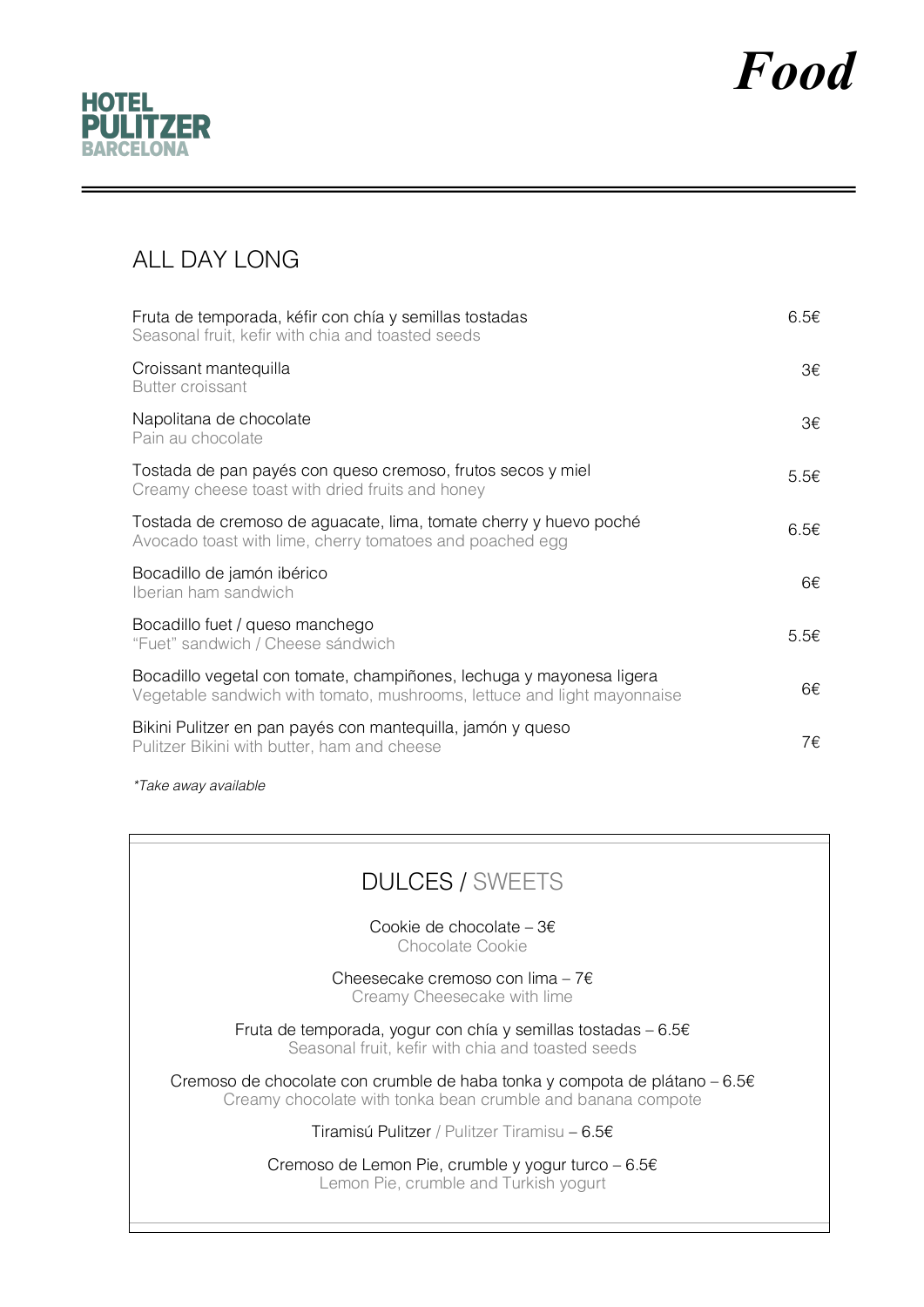



### ALL DAY LONG

| Fruta de temporada, kéfir con chía y semillas tostadas<br>Seasonal fruit, kefir with chia and toasted seeds                                     | 6.5€             |
|-------------------------------------------------------------------------------------------------------------------------------------------------|------------------|
| Croissant mantequilla<br><b>Butter croissant</b>                                                                                                | З€               |
| Napolitana de chocolate<br>Pain au chocolate                                                                                                    | 3€               |
| Tostada de pan payés con queso cremoso, frutos secos y miel<br>Creamy cheese toast with dried fruits and honey                                  | $5.5\varepsilon$ |
| Tostada de cremoso de aguacate, lima, tomate cherry y huevo poché<br>Avocado toast with lime, cherry tomatoes and poached egg                   | 6.5€             |
| Bocadillo de jamón ibérico<br>Iberian ham sandwich                                                                                              | 6€               |
| Bocadillo fuet / queso manchego<br>"Fuet" sandwich / Cheese sándwich                                                                            | $5.5\varepsilon$ |
| Bocadillo vegetal con tomate, champiñones, lechuga y mayonesa ligera<br>Vegetable sandwich with tomato, mushrooms, lettuce and light mayonnaise | 6€               |
| Bikini Pulitzer en pan payés con mantequilla, jamón y queso<br>Pulitzer Bikini with butter, ham and cheese                                      | 7€.              |

*\*Take away available*

## DULCES / SWEETS

Cookie de chocolate – 3€ Chocolate Cookie

Cheesecake cremoso con lima – 7€ Creamy Cheesecake with lime

Fruta de temporada, yogur con chía y semillas tostadas – 6.5€ Seasonal fruit, kefir with chia and toasted seeds

Cremoso de chocolate con crumble de haba tonka y compota de plátano – 6.5€ Creamy chocolate with tonka bean crumble and banana compote

Tiramisú Pulitzer / Pulitzer Tiramisu – 6.5€

Cremoso de Lemon Pie, crumble y yogur turco – 6.5€ Lemon Pie, crumble and Turkish yogurt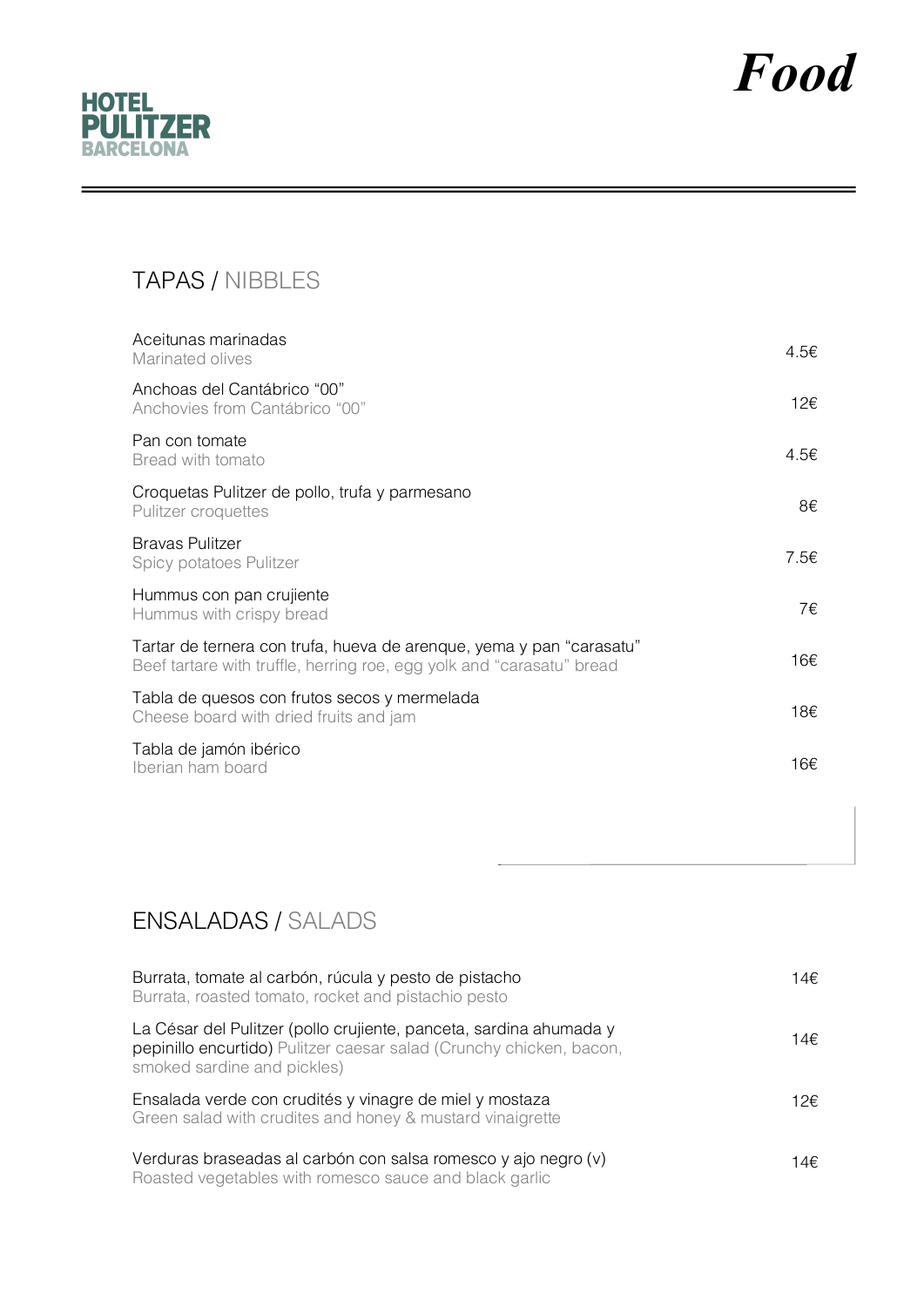

# *Food*

# TAPAS / NIBBLES

| Aceitunas marinadas<br>Marinated olives                                                                                                       | 4.5€ |
|-----------------------------------------------------------------------------------------------------------------------------------------------|------|
| Anchoas del Cantábrico "00"<br>Anchovies from Cantábrico "00"                                                                                 | 12€  |
| Pan con tomate<br>Bread with tomato                                                                                                           | 4.5€ |
| Croquetas Pulitzer de pollo, trufa y parmesano<br>Pulitzer croquettes                                                                         | 8€   |
| <b>Bravas Pulitzer</b><br>Spicy potatoes Pulitzer                                                                                             | 7.5€ |
| Hummus con pan crujiente<br>Hummus with crispy bread                                                                                          | 7€   |
| Tartar de ternera con trufa, hueva de arenque, yema y pan "carasatu"<br>Beef tartare with truffle, herring roe, egg yolk and "carasatu" bread | 16€  |
| Tabla de quesos con frutos secos y mermelada<br>Cheese board with dried fruits and jam                                                        | 18€  |
| Tabla de jamón ibérico<br>Iberian ham board                                                                                                   | 16€  |

## ENSALADAS / SALADS

| Burrata, tomate al carbón, rúcula y pesto de pistacho<br>Burrata, roasted tomato, rocket and pistachio pesto                                                             | 14€  |
|--------------------------------------------------------------------------------------------------------------------------------------------------------------------------|------|
| La César del Pulitzer (pollo crujiente, panceta, sardina ahumada y<br>pepinillo encurtido) Pulitzer caesar salad (Crunchy chicken, bacon,<br>smoked sardine and pickles) | 14€  |
| Ensalada verde con crudités y vinagre de miel y mostaza<br>Green salad with crudites and honey & mustard vinaigrette                                                     | 12€. |
| Verduras braseadas al carbón con salsa romesco y ajo negro (v)<br>Roasted vegetables with romesco sauce and black garlic                                                 | 14€. |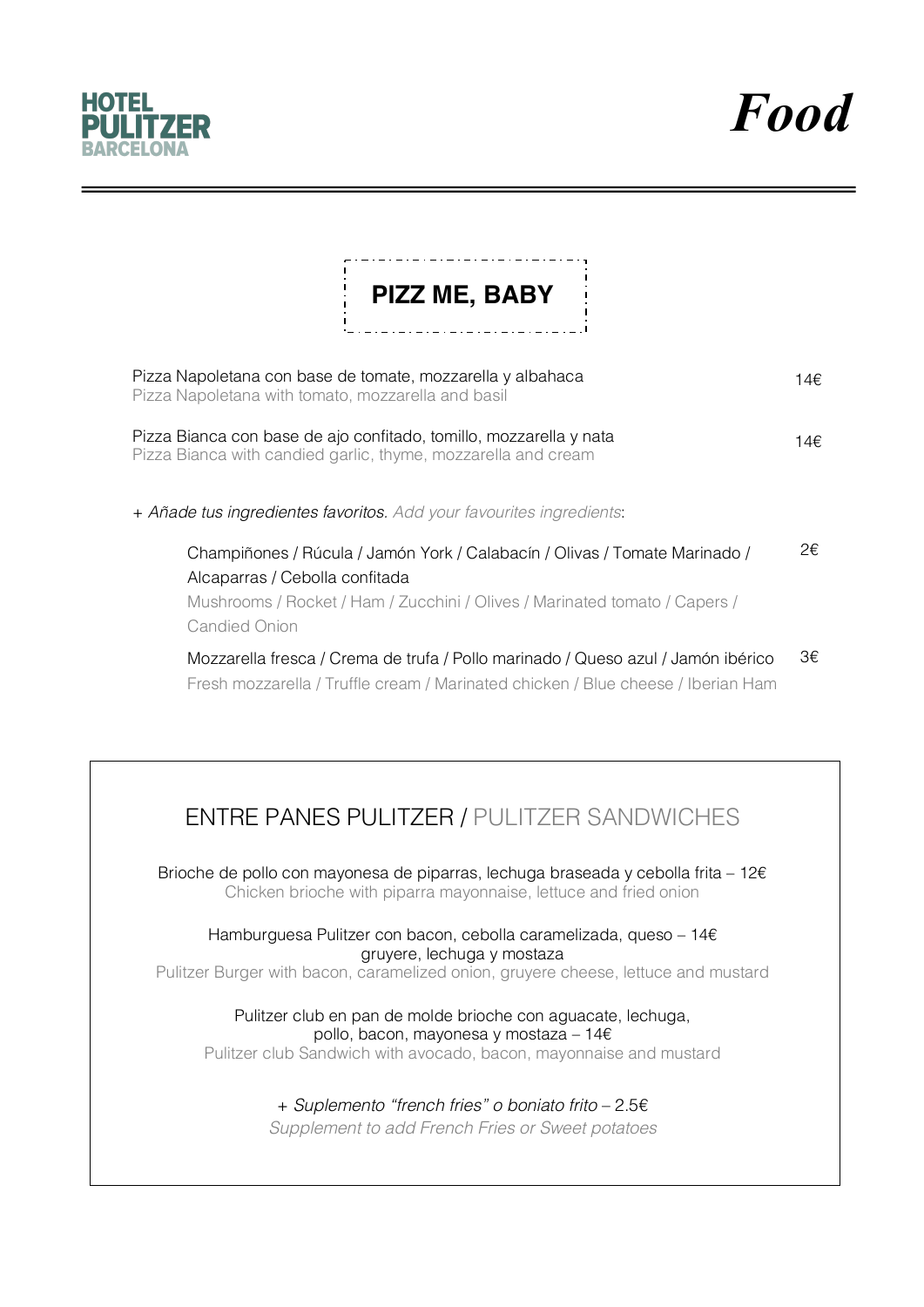

*Food*

| PIZZ ME, BABY                                                                                                                                                                                                      |     |
|--------------------------------------------------------------------------------------------------------------------------------------------------------------------------------------------------------------------|-----|
| Pizza Napoletana con base de tomate, mozzarella y albahaca<br>Pizza Napoletana with tomato, mozzarella and basil                                                                                                   | 14€ |
| Pizza Bianca con base de ajo confitado, tomillo, mozzarella y nata<br>Pizza Bianca with candied garlic, thyme, mozzarella and cream                                                                                | 14€ |
| + Añade tus ingredientes favoritos. Add your favourites ingredients:                                                                                                                                               |     |
| Champiñones / Rúcula / Jamón York / Calabacín / Olivas / Tomate Marinado /<br>Alcaparras / Cebolla confitada<br>Mushrooms / Rocket / Ham / Zucchini / Olives / Marinated tomato / Capers /<br><b>Candied Onion</b> | 2€  |
| Mozzarella fresca / Crema de trufa / Pollo marinado / Queso azul / Jamón ibérico<br>Fresh mozzarella / Truffle cream / Marinated chicken / Blue cheese / Iberian Ham                                               | 3€  |
| <b>ENTRE PANES PULITZER / PULITZER SANDWICHES</b>                                                                                                                                                                  |     |
| Brioche de pollo con mayonesa de piparras, lechuga braseada y cebolla frita - $12 \epsilon$<br>Chicken brioche with piparra mayonnaise, lettuce and fried onion                                                    |     |
| Hamburguesa Pulitzer con bacon, cebolla caramelizada, queso - $14 \epsilon$<br>gruyere, lechuga y mostaza<br>Pulitzer Burger with bacon, caramelized onion, gruyere cheese, lettuce and mustard                    |     |

Pulitzer club en pan de molde brioche con aguacate, lechuga, pollo, bacon, mayonesa y mostaza – 14€

Pulitzer club Sandwich with avocado, bacon, mayonnaise and mustard

## + *Suplemento "french fries" o boniato frito* – 2.5€

*Supplement to add French Fries or Sweet potatoes*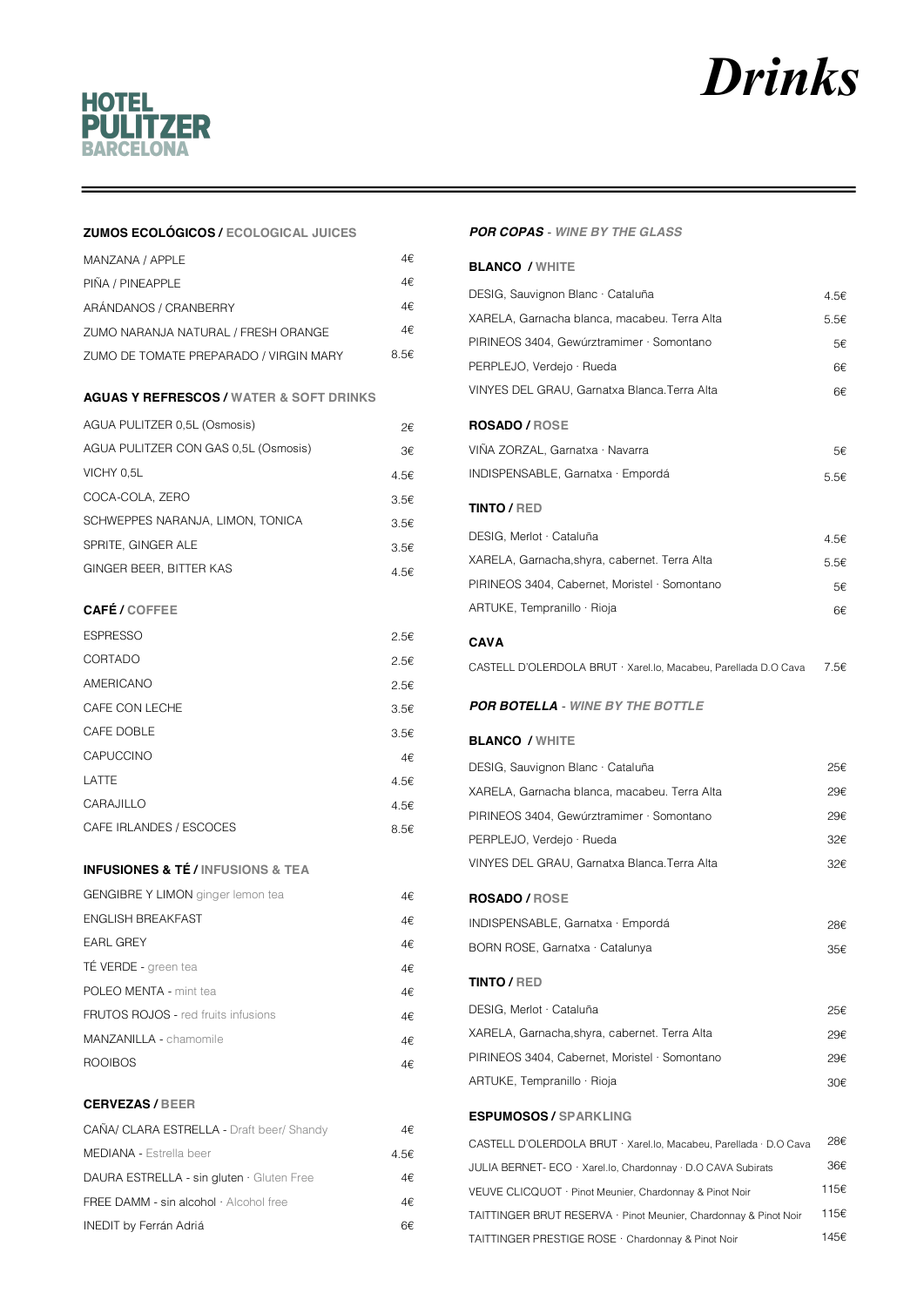# **Drinks**



#### **ZUMOS ECOLÓGICOS / ECOLOGICAL JUICES**

| MANZANA / APPLE                        | 4€   |
|----------------------------------------|------|
| PIÑA / PINEAPPLE                       | 4€   |
| ARÁNDANOS / CRANBERRY                  | 4€   |
| ZUMO NARANJA NATURAL / FRESH ORANGE    | 4€   |
| ZUMO DE TOMATE PREPARADO / VIRGIN MARY | 8.5€ |

#### **AGUAS Y REFRESCOS / WATER & SOFT DRINKS**

| AGUA PULITZER 0,5L (Osmosis)         | 2€.  |
|--------------------------------------|------|
| AGUA PULITZER CON GAS 0.5L (Osmosis) | 3€   |
| VICHY 0,5L                           | 4.5€ |
| COCA-COLA, ZERO                      | 3.56 |
| SCHWEPPES NARANJA, LIMON, TONICA     | 3.5€ |
| SPRITE, GINGER ALE                   | 3.5€ |
| GINGER BEER, BITTER KAS              | 4.5€ |

#### CAFÉ / COFFEE

| <b>ESPRESSO</b>         | 2.5€ |
|-------------------------|------|
| CORTADO                 | 2.5€ |
| AMERICANO               | 2.5€ |
| CAFE CON LECHE          | 3.5€ |
| CAFE DOBLE              | 3.5€ |
| CAPUCCINO               | 4€   |
| LATTE                   | 4.5€ |
| CARAJILLO               | 4.5€ |
| CAFE IRLANDES / ESCOCES | 8.5€ |

#### **INFUSIONES & TÉ / INFUSIONS & TEA**

| <b>GENGIBRE Y LIMON</b> ginger lemon tea   | 4€  |
|--------------------------------------------|-----|
| ENGLISH BREAKFAST                          | 4€  |
| <b>EARL GREY</b>                           | 4€  |
| TÉ VERDE - green tea                       | 4€  |
| POLEO MENTA - mint tea                     | 4€  |
| <b>FRUTOS ROJOS - red fruits infusions</b> | 4€  |
| <b>MANZANILLA - chamomile</b>              | 4€  |
| <b>ROOIBOS</b>                             | 4€. |

#### **CERVEZAS / BEER**

| CAÑA/ CLARA ESTRELLA - Draft beer/ Shandy      | 4€   |
|------------------------------------------------|------|
| <b>MEDIANA - Estrella beer</b>                 | 4.5€ |
| DAURA ESTRELLA - sin gluten · Gluten Free      | 4€   |
| FREE DAMM - $sin$ alcohol $\cdot$ Alcohol free | 4€   |
| <b>INEDIT by Ferrán Adriá</b>                  | ճ€   |

#### **POR COPAS** - WINE BY THE GLASS

| <b>BLANCO / WHITE</b>                                             |      |
|-------------------------------------------------------------------|------|
| DESIG, Sauvignon Blanc · Cataluña                                 | 4.5€ |
| XARELA, Garnacha blanca, macabeu. Terra Alta                      | 5.5€ |
| PIRINEOS 3404, Gewúrztramimer · Somontano                         | 5€   |
| PERPLEJO, Verdejo · Rueda                                         | 6€   |
| VINYES DEL GRAU, Garnatxa Blanca.Terra Alta                       | 6€   |
| <b>ROSADO / ROSE</b>                                              |      |
| VINA ZORZAL, Garnatxa · Navarra                                   | 5€   |
| INDISPENSABLE, Garnatxa · Empordá                                 | 5.5€ |
| <b>TINTO / RED</b>                                                |      |
| DESIG, Merlot · Cataluña                                          | 4.5€ |
| XARELA, Garnacha,shyra, cabernet. Terra Alta                      | 5.5€ |
| PIRINEOS 3404, Cabernet, Moristel · Somontano                     | 5€   |
| ARTUKE, Tempranillo · Rioja                                       |      |
|                                                                   | 6€   |
| CAVA                                                              |      |
| CASTELL D'OLERDOLA BRUT · Xarel.lo, Macabeu, Parellada D.O Cava   | 7.5€ |
| <b>POR BOTELLA</b> - WINE BY THE BOTTLE                           |      |
| <b>BLANCO / WHITE</b>                                             |      |
| DESIG, Sauvignon Blanc · Cataluña                                 | 25€  |
| XARELA, Garnacha blanca, macabeu. Terra Alta                      | 29€  |
| PIRINEOS 3404, Gewúrztramimer · Somontano                         | 29€  |
| PERPLEJO, Verdejo · Rueda                                         | 32€  |
| VINYES DEL GRAU, Garnatxa Blanca.Terra Alta                       | 32€  |
| <b>ROSADO / ROSE</b>                                              |      |
| INDISPENSABLE, Garnatxa · Empordá                                 | 28€  |
| BORN ROSE, Garnatxa · Catalunya                                   | 35€  |
| <b>TINTO / RED</b>                                                |      |
| DESIG, Merlot · Cataluña                                          | 25€  |
| XARELA, Garnacha,shyra, cabernet. Terra Alta                      | 29€  |
| PIRINEOS 3404, Cabernet, Moristel · Somontano                     | 29€  |
| ARTUKE, Tempranillo · Rioja                                       | 30€  |
|                                                                   |      |
| <b>ESPUMOSOS / SPARKLING</b>                                      |      |
| CASTELL D'OLERDOLA BRUT · Xarel.lo, Macabeu, Parellada · D.O Cava | 28€  |
| JULIA BERNET- ECO · Xarel.lo, Chardonnay · D.O CAVA Subirats      | 36€  |
| VEUVE CLICQUOT · Pinot Meunier, Chardonnay & Pinot Noir           | 115€ |
| TAITTINGER BRUT RESERVA · Pinot Meunier, Chardonnay & Pinot Noir  | 115€ |

TAITTINGER PRESTIGE ROSE · Chardonnay & Pinot Noir

145€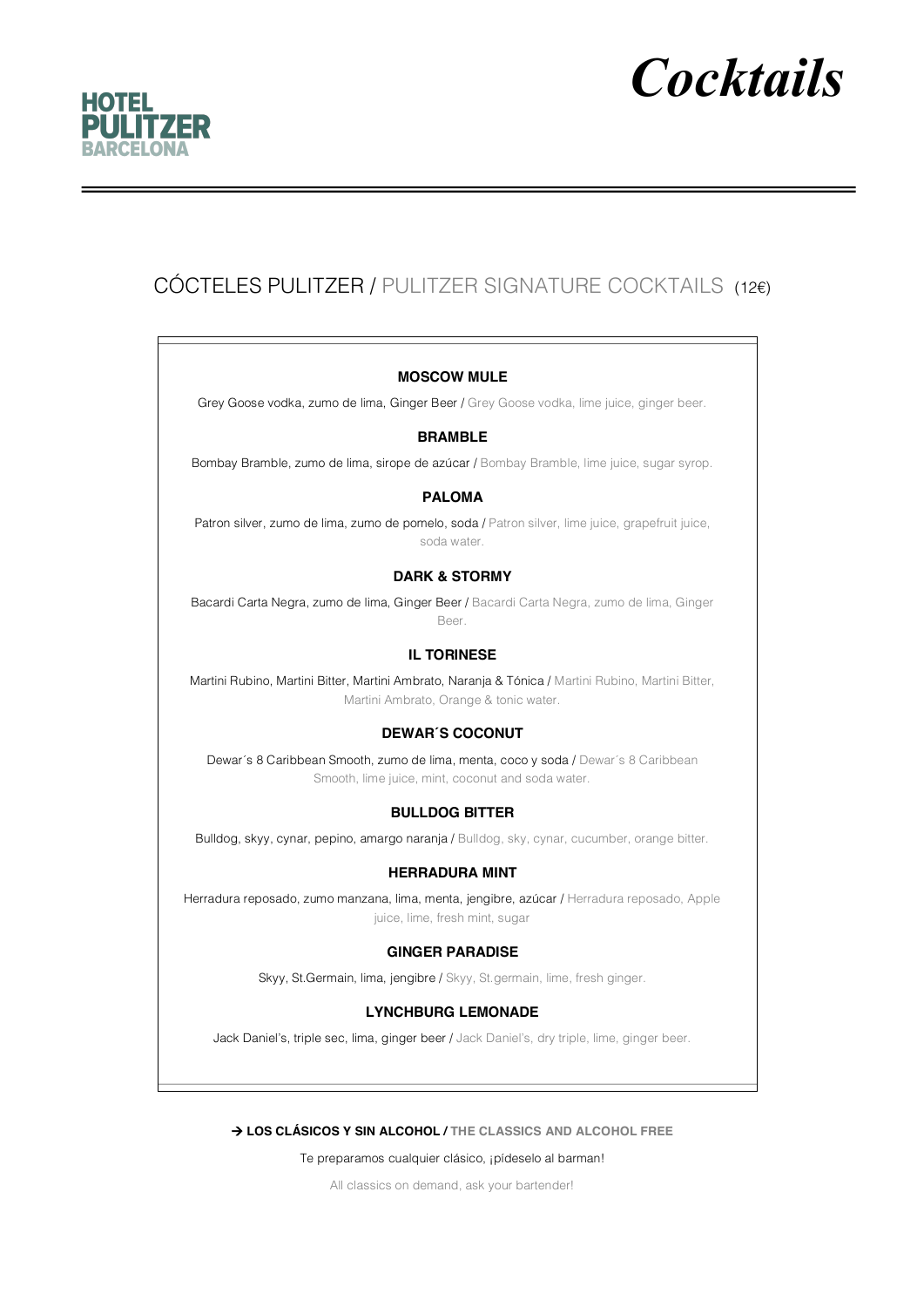

# *Cocktails*

## CÓCTELES PULITZER / PULITZER SIGNATURE COCKTAILS (12€)

#### **MOSCOW MULE**

Grey Goose vodka, zumo de lima, Ginger Beer / Grey Goose vodka, lime juice, ginger beer.

#### **BRAMBLE**

Bombay Bramble, zumo de lima, sirope de azúcar / Bombay Bramble, lime juice, sugar syrop.

#### **PALOMA**

Patron silver, zumo de lima, zumo de pomelo, soda / Patron silver, lime juice, grapefruit juice, soda water.

#### **DARK & STORMY**

Bacardi Carta Negra, zumo de lima, Ginger Beer / Bacardi Carta Negra, zumo de lima, Ginger Beer.

#### **IL TORINESE**

Martini Rubino, Martini Bitter, Martini Ambrato, Naranja & Tónica / Martini Rubino, Martini Bitter, Martini Ambrato, Orange & tonic water.

#### **DEWAR´S COCONUT**

Dewar's 8 Caribbean Smooth, zumo de lima, menta, coco y soda / Dewar's 8 Caribbean Smooth, lime juice, mint, coconut and soda water.

#### **BULLDOG BITTER**

Bulldog, skyy, cynar, pepino, amargo naranja / Bulldog, sky, cynar, cucumber, orange bitter.

#### **HERRADURA MINT**

Herradura reposado, zumo manzana, lima, menta, jengibre, azúcar / Herradura reposado, Apple juice, lime, fresh mint, sugar

#### **GINGER PARADISE**

Skyy, St.Germain, lima, jengibre / Skyy, St.germain, lime, fresh ginger.

#### **LYNCHBURG LEMONADE**

Jack Daniel's, triple sec, lima, ginger beer / Jack Daniel's, dry triple, lime, ginger beer.

#### à **LOS CLÁSICOS Y SIN ALCOHOL / THE CLASSICS AND ALCOHOL FREE**

Te preparamos cualquier clásico, ¡pídeselo al barman!

All classics on demand, ask your bartender!